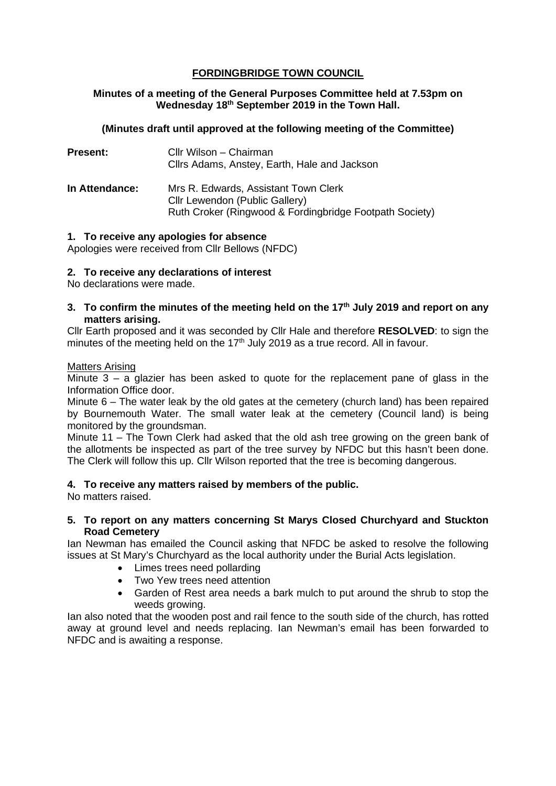# **FORDINGBRIDGE TOWN COUNCIL**

## **Minutes of a meeting of the General Purposes Committee held at 7.53pm on Wednesday 18th September 2019 in the Town Hall.**

## **(Minutes draft until approved at the following meeting of the Committee)**

| <b>Present:</b> | Cllr Wilson – Chairman<br>Cllrs Adams, Anstey, Earth, Hale and Jackson                                                            |
|-----------------|-----------------------------------------------------------------------------------------------------------------------------------|
| In Attendance:  | Mrs R. Edwards, Assistant Town Clerk<br>Cllr Lewendon (Public Gallery)<br>Ruth Croker (Ringwood & Fordingbridge Footpath Society) |

## **1. To receive any apologies for absence**

Apologies were received from Cllr Bellows (NFDC)

## **2. To receive any declarations of interest**

No declarations were made.

**3. To confirm the minutes of the meeting held on the 17th July 2019 and report on any matters arising.**

Cllr Earth proposed and it was seconded by Cllr Hale and therefore **RESOLVED**: to sign the minutes of the meeting held on the  $17<sup>th</sup>$  July 2019 as a true record. All in favour.

#### Matters Arising

Minute 3 – a glazier has been asked to quote for the replacement pane of glass in the Information Office door.

Minute 6 – The water leak by the old gates at the cemetery (church land) has been repaired by Bournemouth Water. The small water leak at the cemetery (Council land) is being monitored by the groundsman.

Minute 11 – The Town Clerk had asked that the old ash tree growing on the green bank of the allotments be inspected as part of the tree survey by NFDC but this hasn't been done. The Clerk will follow this up. Cllr Wilson reported that the tree is becoming dangerous.

## **4. To receive any matters raised by members of the public.**

No matters raised.

#### **5. To report on any matters concerning St Marys Closed Churchyard and Stuckton Road Cemetery**

Ian Newman has emailed the Council asking that NFDC be asked to resolve the following issues at St Mary's Churchyard as the local authority under the Burial Acts legislation.

- Limes trees need pollarding
- Two Yew trees need attention
- Garden of Rest area needs a bark mulch to put around the shrub to stop the weeds growing.

Ian also noted that the wooden post and rail fence to the south side of the church, has rotted away at ground level and needs replacing. Ian Newman's email has been forwarded to NFDC and is awaiting a response.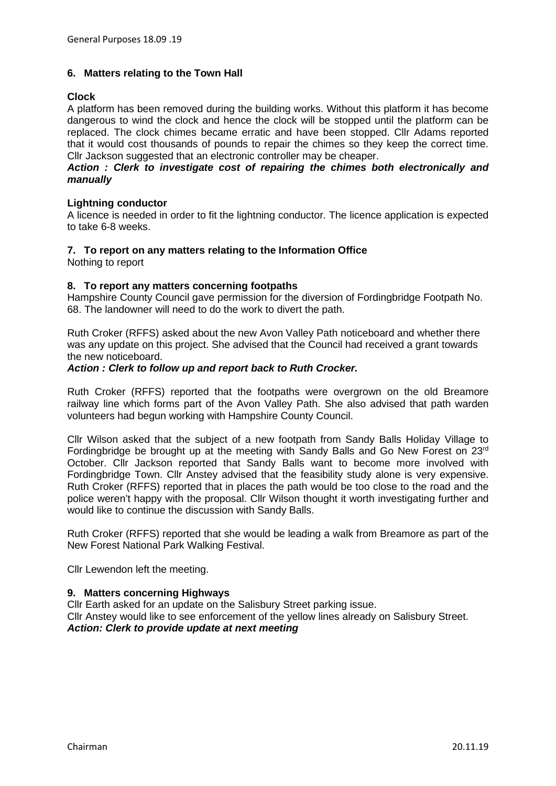## **6. Matters relating to the Town Hall**

## **Clock**

A platform has been removed during the building works. Without this platform it has become dangerous to wind the clock and hence the clock will be stopped until the platform can be replaced. The clock chimes became erratic and have been stopped. Cllr Adams reported that it would cost thousands of pounds to repair the chimes so they keep the correct time. Cllr Jackson suggested that an electronic controller may be cheaper.

#### *Action : Clerk to investigate cost of repairing the chimes both electronically and manually*

## **Lightning conductor**

A licence is needed in order to fit the lightning conductor. The licence application is expected to take 6-8 weeks.

#### **7. To report on any matters relating to the Information Office**

Nothing to report

## **8. To report any matters concerning footpaths**

Hampshire County Council gave permission for the diversion of Fordingbridge Footpath No. 68. The landowner will need to do the work to divert the path.

Ruth Croker (RFFS) asked about the new Avon Valley Path noticeboard and whether there was any update on this project. She advised that the Council had received a grant towards the new noticeboard.

#### *Action : Clerk to follow up and report back to Ruth Crocker.*

Ruth Croker (RFFS) reported that the footpaths were overgrown on the old Breamore railway line which forms part of the Avon Valley Path. She also advised that path warden volunteers had begun working with Hampshire County Council.

Cllr Wilson asked that the subject of a new footpath from Sandy Balls Holiday Village to Fordingbridge be brought up at the meeting with Sandy Balls and Go New Forest on 23rd October. Cllr Jackson reported that Sandy Balls want to become more involved with Fordingbridge Town. Cllr Anstey advised that the feasibility study alone is very expensive. Ruth Croker (RFFS) reported that in places the path would be too close to the road and the police weren't happy with the proposal. Cllr Wilson thought it worth investigating further and would like to continue the discussion with Sandy Balls.

Ruth Croker (RFFS) reported that she would be leading a walk from Breamore as part of the New Forest National Park Walking Festival.

Cllr Lewendon left the meeting.

## **9. Matters concerning Highways**

Cllr Earth asked for an update on the Salisbury Street parking issue. Cllr Anstey would like to see enforcement of the yellow lines already on Salisbury Street. *Action: Clerk to provide update at next meeting*